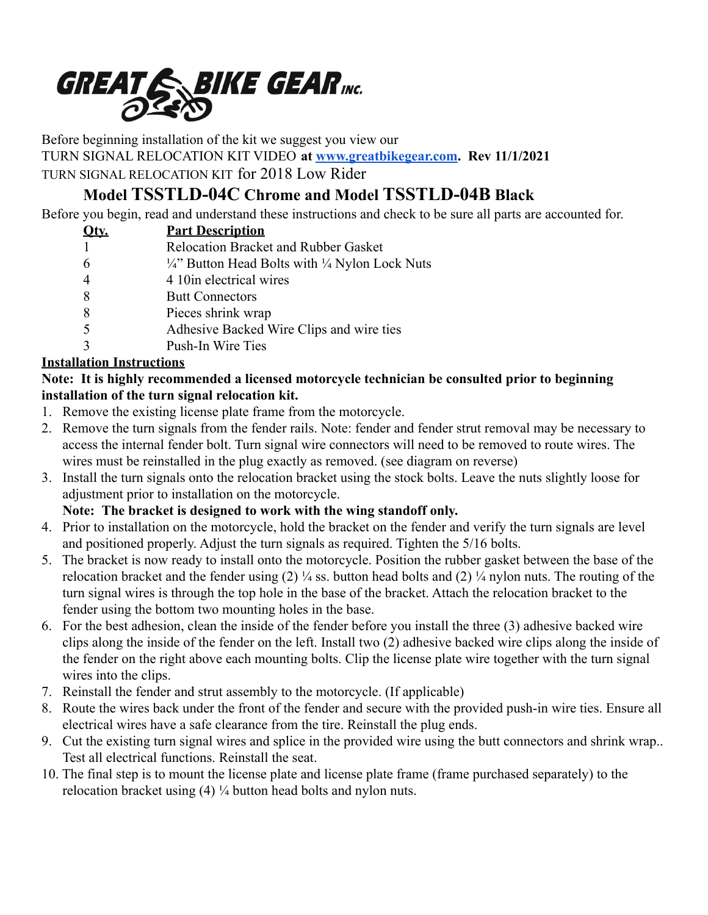

Before beginning installation of the kit we suggest you view our

TURN SIGNAL RELOCATION KIT VIDEO **at [www.greatbikegear.com.](http://www.greatbikegear.com) Rev 11/1/2021**

TURN SIGNAL RELOCATION KIT for 2018 Low Rider

# **Model TSSTLD-04C Chrome and Model TSSTLD-04B Black**

Before you begin, read and understand these instructions and check to be sure all parts are accounted for.

|                | <b>Part Description</b>                                            |
|----------------|--------------------------------------------------------------------|
|                | Relocation Bracket and Rubber Gasket                               |
| 6              | $\frac{1}{4}$ Button Head Bolts with $\frac{1}{4}$ Nylon Lock Nuts |
| $\overline{4}$ | 4 10 in electrical wires                                           |
| 8              | <b>Butt Connectors</b>                                             |
| 8              | Pieces shrink wrap                                                 |
|                | Adhesive Backed Wire Clips and wire ties                           |
|                | Push-In Wire Ties                                                  |

### **Installation Instructions**

#### **Note: It is highly recommended a licensed motorcycle technician be consulted prior to beginning installation of the turn signal relocation kit.**

- 1. Remove the existing license plate frame from the motorcycle.
- 2. Remove the turn signals from the fender rails. Note: fender and fender strut removal may be necessary to access the internal fender bolt. Turn signal wire connectors will need to be removed to route wires. The wires must be reinstalled in the plug exactly as removed. (see diagram on reverse)
- 3. Install the turn signals onto the relocation bracket using the stock bolts. Leave the nuts slightly loose for adjustment prior to installation on the motorcycle.

## **Note: The bracket is designed to work with the wing standoff only.**

- 4. Prior to installation on the motorcycle, hold the bracket on the fender and verify the turn signals are level and positioned properly. Adjust the turn signals as required. Tighten the 5/16 bolts.
- 5. The bracket is now ready to install onto the motorcycle. Position the rubber gasket between the base of the relocation bracket and the fender using  $(2)$  ¼ ss. button head bolts and  $(2)$  ¼ nylon nuts. The routing of the turn signal wires is through the top hole in the base of the bracket. Attach the relocation bracket to the fender using the bottom two mounting holes in the base.
- 6. For the best adhesion, clean the inside of the fender before you install the three (3) adhesive backed wire clips along the inside of the fender on the left. Install two (2) adhesive backed wire clips along the inside of the fender on the right above each mounting bolts. Clip the license plate wire together with the turn signal wires into the clips.
- 7. Reinstall the fender and strut assembly to the motorcycle. (If applicable)
- 8. Route the wires back under the front of the fender and secure with the provided push-in wire ties. Ensure all electrical wires have a safe clearance from the tire. Reinstall the plug ends.
- 9. Cut the existing turn signal wires and splice in the provided wire using the butt connectors and shrink wrap.. Test all electrical functions. Reinstall the seat.
- 10. The final step is to mount the license plate and license plate frame (frame purchased separately) to the relocation bracket using (4) ¼ button head bolts and nylon nuts.